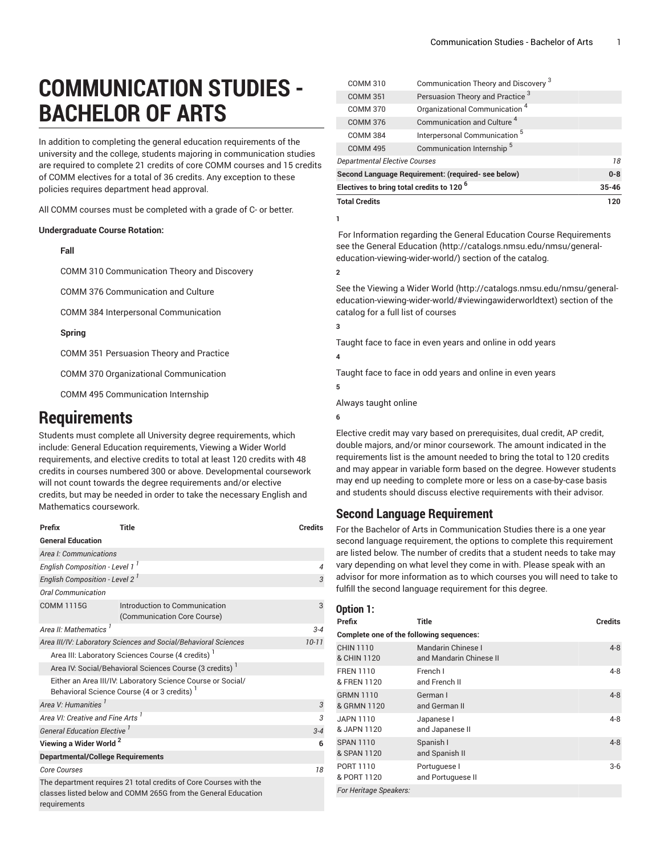# **COMMUNICATION STUDIES - BACHELOR OF ARTS**

In addition to completing the general education requirements of the university and the college, students majoring in communication studies are required to complete 21 credits of core COMM courses and 15 credits of COMM electives for a total of 36 credits. Any exception to these policies requires department head approval.

All COMM courses must be completed with a grade of C- or better.

#### **Undergraduate Course Rotation:**

#### **Fall**

COMM 310 Communication Theory and Discovery

COMM 376 Communication and Culture

COMM 384 Interpersonal Communication 

#### **Spring**

COMM 351 Persuasion Theory and Practice

COMM 370 Organizational Communication

COMM 495 Communication Internship

## **Requirements**

Students must complete all University degree requirements, which include: General Education requirements, Viewing a Wider World requirements, and elective credits to total at least 120 credits with 48 credits in courses numbered 300 or above. Developmental coursework will not count towards the degree requirements and/or elective credits, but may be needed in order to take the necessary English and Mathematics coursework.

| Prefix                                                                                                                                             | Title                                                                                                     | <b>Credits</b> |
|----------------------------------------------------------------------------------------------------------------------------------------------------|-----------------------------------------------------------------------------------------------------------|----------------|
| <b>General Education</b>                                                                                                                           |                                                                                                           |                |
| Area I: Communications                                                                                                                             |                                                                                                           |                |
| English Composition - Level 1 <sup>1</sup>                                                                                                         | $\overline{4}$                                                                                            |                |
| English Composition - Level 2 <sup>1</sup>                                                                                                         | 3                                                                                                         |                |
| <b>Oral Communication</b>                                                                                                                          |                                                                                                           |                |
| <b>COMM 1115G</b>                                                                                                                                  | Introduction to Communication<br>(Communication Core Course)                                              | 3              |
| Area II: Mathematics <sup>1</sup>                                                                                                                  |                                                                                                           | $3 - 4$        |
| Area III/IV: Laboratory Sciences and Social/Behavioral Sciences                                                                                    | $10 - 11$                                                                                                 |                |
|                                                                                                                                                    | Area III: Laboratory Sciences Course (4 credits)                                                          |                |
|                                                                                                                                                    | Area IV: Social/Behavioral Sciences Course (3 credits) <sup>1</sup>                                       |                |
|                                                                                                                                                    | Either an Area III/IV: Laboratory Science Course or Social/<br>Behavioral Science Course (4 or 3 credits) |                |
| Area V: Humanities <sup>1</sup>                                                                                                                    |                                                                                                           | 3              |
| Area VI: Creative and Fine Arts <sup>1</sup>                                                                                                       | 3                                                                                                         |                |
| General Education Elective <sup>1</sup>                                                                                                            | $3 - 4$                                                                                                   |                |
| Viewing a Wider World <sup>2</sup>                                                                                                                 | 6                                                                                                         |                |
|                                                                                                                                                    | <b>Departmental/College Requirements</b>                                                                  |                |
| <b>Core Courses</b>                                                                                                                                |                                                                                                           | 18             |
| The department requires 21 total credits of Core Courses with the<br>classes listed below and COMM 265G from the General Education<br>requirements |                                                                                                           |                |

| <b>COMM 310</b>                                    | Communication Theory and Discovery <sup>3</sup> |           |
|----------------------------------------------------|-------------------------------------------------|-----------|
| <b>COMM 351</b>                                    | Persuasion Theory and Practice <sup>3</sup>     |           |
| <b>COMM 370</b>                                    | Organizational Communication <sup>4</sup>       |           |
| <b>COMM 376</b>                                    | Communication and Culture <sup>4</sup>          |           |
| <b>COMM 384</b>                                    | Interpersonal Communication <sup>5</sup>        |           |
| <b>COMM 495</b>                                    | Communication Internship <sup>5</sup>           |           |
| <i><b>Departmental Elective Courses</b></i>        |                                                 | 18        |
| Second Language Requirement: (required- see below) |                                                 | $0 - 8$   |
| Electives to bring total credits to 120 $^6$       |                                                 | $35 - 46$ |
| <b>Total Credits</b>                               |                                                 | 120       |

**1**

For Information regarding the General Education Course Requirements see the General [Education](http://catalogs.nmsu.edu/nmsu/general-education-viewing-wider-world/) ([http://catalogs.nmsu.edu/nmsu/general](http://catalogs.nmsu.edu/nmsu/general-education-viewing-wider-world/)[education-viewing-wider-world/\)](http://catalogs.nmsu.edu/nmsu/general-education-viewing-wider-world/) section of the catalog.

**2**

See the [Viewing](http://catalogs.nmsu.edu/nmsu/general-education-viewing-wider-world/#viewingawiderworldtext) a Wider World [\(http://catalogs.nmsu.edu/nmsu/general](http://catalogs.nmsu.edu/nmsu/general-education-viewing-wider-world/#viewingawiderworldtext)[education-viewing-wider-world/#viewingawiderworldtext\)](http://catalogs.nmsu.edu/nmsu/general-education-viewing-wider-world/#viewingawiderworldtext) section of the catalog for a full list of courses

**3**

**4**

**5**

Taught face to face in even years and online in odd years

Taught face to face in odd years and online in even years

Always taught online

**6**

Elective credit may vary based on prerequisites, dual credit, AP credit, double majors, and/or minor coursework. The amount indicated in the requirements list is the amount needed to bring the total to 120 credits and may appear in variable form based on the degree. However students may end up needing to complete more or less on a case-by-case basis and students should discuss elective requirements with their advisor.

### **Second Language Requirement**

For the Bachelor of Arts in Communication Studies there is a one year second language requirement, the options to complete this requirement are listed below. The number of credits that a student needs to take may vary depending on what level they come in with. Please speak with an advisor for more information as to which courses you will need to take to fulfill the second language requirement for this degree.

| Option 1:                                |                                               |                |  |
|------------------------------------------|-----------------------------------------------|----------------|--|
| Prefix                                   | Title                                         | <b>Credits</b> |  |
| Complete one of the following sequences: |                                               |                |  |
| <b>CHIN 1110</b><br>& CHIN 1120          | Mandarin Chinese I<br>and Mandarin Chinese II | $4 - 8$        |  |
| <b>FREN 1110</b><br>& FREN 1120          | French I<br>and French II                     | $4 - 8$        |  |
| <b>GRMN 1110</b><br>& GRMN 1120          | German I<br>and German II                     | $4 - 8$        |  |
| JAPN 1110<br>& JAPN 1120                 | Japanese I<br>and Japanese II                 | $4 - 8$        |  |
| <b>SPAN 1110</b><br>& SPAN 1120          | Spanish I<br>and Spanish II                   | $4 - 8$        |  |
| PORT 1110<br>& PORT 1120                 | Portuguese I<br>and Portuguese II             | $3-6$          |  |
| For Heritage Speakers:                   |                                               |                |  |